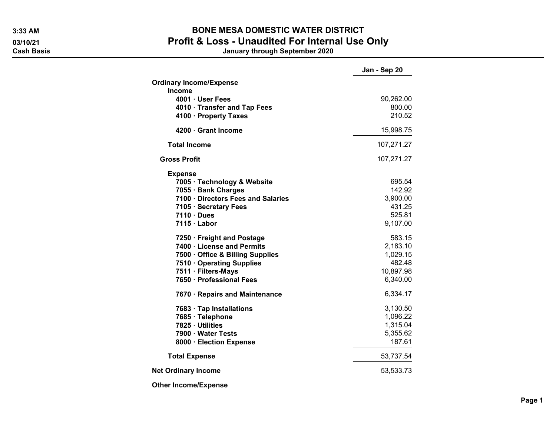## 3:33 AM BONE MESA DOMESTIC WATER DISTRICT 03/10/21 03/10/21 Profit & Loss - Unaudited For Internal Use Only<br>Cash Basis January through September 2020

Jan - Sep 20 January through September 2020

|                                    | υαιι - σ∈ρ ∠υ |
|------------------------------------|---------------|
| <b>Ordinary Income/Expense</b>     |               |
| <b>Income</b>                      |               |
| 4001 · User Fees                   | 90,262.00     |
| 4010 · Transfer and Tap Fees       | 800.00        |
| 4100 · Property Taxes              | 210.52        |
| 4200 · Grant Income                | 15,998.75     |
| <b>Total Income</b>                | 107,271.27    |
| <b>Gross Profit</b>                | 107,271.27    |
| <b>Expense</b>                     |               |
| 7005 · Technology & Website        | 695.54        |
| 7055 · Bank Charges                | 142.92        |
| 7100 · Directors Fees and Salaries | 3,900.00      |
| 7105 · Secretary Fees              | 431.25        |
| $7110 \cdot Dues$                  | 525.81        |
| 7115 · Labor                       | 9,107.00      |
| 7250 · Freight and Postage         | 583.15        |
| 7400 · License and Permits         | 2,183.10      |
| 7500 Office & Billing Supplies     | 1,029.15      |
| 7510 Operating Supplies            | 482.48        |
| 7511 · Filters-Mays                | 10,897.98     |
| 7650 · Professional Fees           | 6,340.00      |
| 7670 · Repairs and Maintenance     | 6,334.17      |
| 7683 · Tap Installations           | 3,130.50      |
| 7685 · Telephone                   | 1,096.22      |
| 7825 · Utilities                   | 1,315.04      |
| 7900 · Water Tests                 | 5,355.62      |
| 8000 · Election Expense            | 187.61        |
| <b>Total Expense</b>               | 53,737.54     |
| <b>Net Ordinary Income</b>         | 53,533.73     |
|                                    |               |